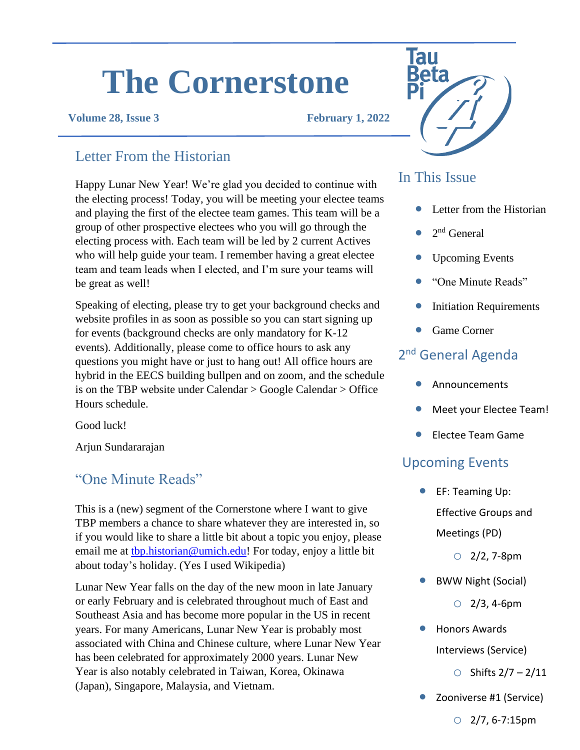# **The Cornerstone**

**Volume 28, Issue 3 February 1, 2022**

## Letter From the Historian

Happy Lunar New Year! We're glad you decided to continue with the electing process! Today, you will be meeting your electee teams and playing the first of the electee team games. This team will be a group of other prospective electees who you will go through the electing process with. Each team will be led by 2 current Actives who will help guide your team. I remember having a great electee team and team leads when I elected, and I'm sure your teams will be great as well!

Speaking of electing, please try to get your background checks and website profiles in as soon as possible so you can start signing up for events (background checks are only mandatory for K-12 events). Additionally, please come to office hours to ask any questions you might have or just to hang out! All office hours are hybrid in the EECS building bullpen and on zoom, and the schedule is on the TBP website under Calendar > Google Calendar > Office Hours schedule.

Good luck!

Arjun Sundararajan

#### "One Minute Reads"

This is a (new) segment of the Cornerstone where I want to give TBP members a chance to share whatever they are interested in, so if you would like to share a little bit about a topic you enjoy, please email me at the historian@umich.edu! For today, enjoy a little bit about today's holiday. (Yes I used Wikipedia)

Lunar New Year falls on the day of the new moon in late January or early February and is celebrated throughout much of East and Southeast Asia and has become more popular in the US in recent years. For many Americans, Lunar New Year is probably most associated with China and Chinese culture, where Lunar New Year has been celebrated for approximately 2000 years. Lunar New Year is also notably celebrated in Taiwan, Korea, Okinawa (Japan), Singapore, Malaysia, and Vietnam.



#### In This Issue

- Letter from the Historian
- $\bullet$  2<sup>nd</sup> General
- Upcoming Events
- "One Minute Reads"
- **Initiation Requirements**
- Game Corner

## 2<sup>nd</sup> General Agenda

- Announcements
- Meet your Electee Team!
- Electee Team Game

#### Upcoming Events

**•** EF: Teaming Up: Effective Groups and Meetings (PD)

 $O$  2/2, 7-8pm

• BWW Night (Social)

 $O$  2/3, 4-6pm

- Honors Awards Interviews (Service)
	- $\circ$  Shifts 2/7 2/11
- Zooniverse #1 (Service)

 $O$  2/7, 6-7:15pm